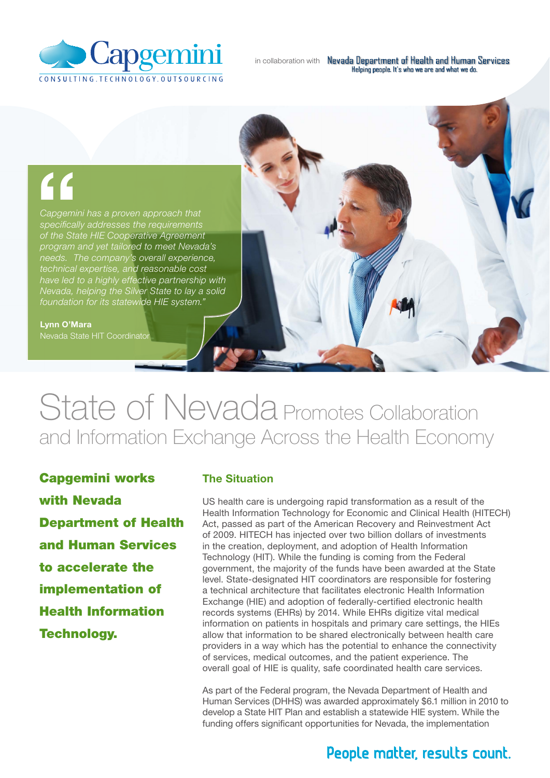

# "

*Capgemini has a proven approach that specifically addresses the requirements of the State HIE Cooperative Agreement program and yet tailored to meet Nevada's needs. The company's overall experience, technical expertise, and reasonable cost have led to a highly effective partnership with Nevada, helping the Silver State to lay a solid foundation for its statewide HIE system."*

#### Lynn O'Mara

Nevada State HIT Coordinator

## State of Nevada Promotes Collaboration and Information Exchange Across the Health Economy

Capgemini works with Nevada Department of Health and Human Services to accelerate the implementation of Health Information Technology.

#### The Situation

US health care is undergoing rapid transformation as a result of the Health Information Technology for Economic and Clinical Health (HITECH) Act, passed as part of the American Recovery and Reinvestment Act of 2009. HITECH has injected over two billion dollars of investments in the creation, deployment, and adoption of Health Information Technology (HIT). While the funding is coming from the Federal government, the majority of the funds have been awarded at the State level. State-designated HIT coordinators are responsible for fostering a technical architecture that facilitates electronic Health Information Exchange (HIE) and adoption of federally-certified electronic health records systems (EHRs) by 2014. While EHRs digitize vital medical information on patients in hospitals and primary care settings, the HIEs allow that information to be shared electronically between health care providers in a way which has the potential to enhance the connectivity of services, medical outcomes, and the patient experience. The overall goal of HIE is quality, safe coordinated health care services.

As part of the Federal program, the Nevada Department of Health and Human Services (DHHS) was awarded approximately \$6.1 million in 2010 to develop a State HIT Plan and establish a statewide HIE system. While the funding offers significant opportunities for Nevada, the implementation

### People matter, results count.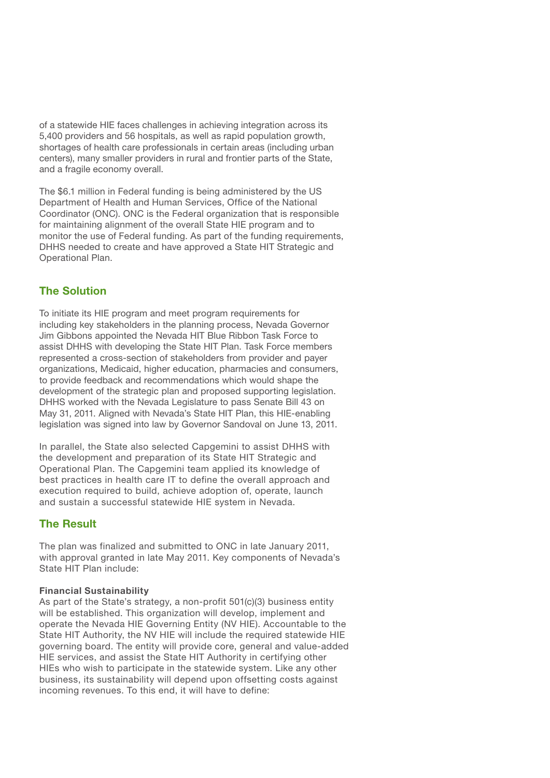of a statewide HIE faces challenges in achieving integration across its 5,400 providers and 56 hospitals, as well as rapid population growth, shortages of health care professionals in certain areas (including urban centers), many smaller providers in rural and frontier parts of the State, and a fragile economy overall.

The \$6.1 million in Federal funding is being administered by the US Department of Health and Human Services, Office of the National Coordinator (ONC). ONC is the Federal organization that is responsible for maintaining alignment of the overall State HIE program and to monitor the use of Federal funding. As part of the funding requirements, DHHS needed to create and have approved a State HIT Strategic and Operational Plan.

#### The Solution

To initiate its HIE program and meet program requirements for including key stakeholders in the planning process, Nevada Governor Jim Gibbons appointed the Nevada HIT Blue Ribbon Task Force to assist DHHS with developing the State HIT Plan. Task Force members represented a cross-section of stakeholders from provider and payer organizations, Medicaid, higher education, pharmacies and consumers, to provide feedback and recommendations which would shape the development of the strategic plan and proposed supporting legislation. DHHS worked with the Nevada Legislature to pass Senate Bill 43 on May 31, 2011. Aligned with Nevada's State HIT Plan, this HIE-enabling legislation was signed into law by Governor Sandoval on June 13, 2011.

In parallel, the State also selected Capgemini to assist DHHS with the development and preparation of its State HIT Strategic and Operational Plan. The Capgemini team applied its knowledge of best practices in health care IT to define the overall approach and execution required to build, achieve adoption of, operate, launch and sustain a successful statewide HIE system in Nevada.

#### The Result

The plan was finalized and submitted to ONC in late January 2011, with approval granted in late May 2011. Key components of Nevada's State HIT Plan include:

#### Financial Sustainability

As part of the State's strategy, a non-profit 501(c)(3) business entity will be established. This organization will develop, implement and operate the Nevada HIE Governing Entity (NV HIE). Accountable to the State HIT Authority, the NV HIE will include the required statewide HIE governing board. The entity will provide core, general and value-added HIE services, and assist the State HIT Authority in certifying other HIEs who wish to participate in the statewide system. Like any other business, its sustainability will depend upon offsetting costs against incoming revenues. To this end, it will have to define: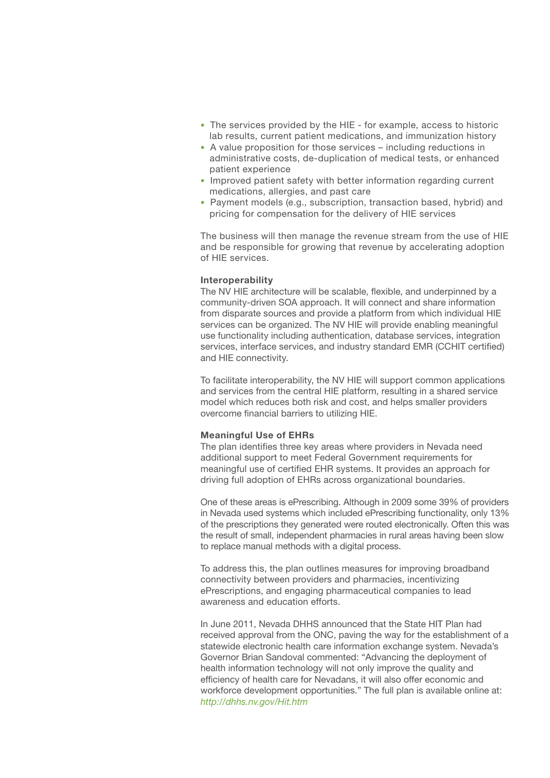- The services provided by the HIE for example, access to historic lab results, current patient medications, and immunization history
- A value proposition for those services including reductions in administrative costs, de-duplication of medical tests, or enhanced patient experience
- Improved patient safety with better information regarding current medications, allergies, and past care
- Payment models (e.g., subscription, transaction based, hybrid) and pricing for compensation for the delivery of HIE services

The business will then manage the revenue stream from the use of HIE and be responsible for growing that revenue by accelerating adoption of HIE services.

#### Interoperability

The NV HIE architecture will be scalable, flexible, and underpinned by a community-driven SOA approach. It will connect and share information from disparate sources and provide a platform from which individual HIE services can be organized. The NV HIE will provide enabling meaningful use functionality including authentication, database services, integration services, interface services, and industry standard EMR (CCHIT certified) and HIE connectivity.

To facilitate interoperability, the NV HIE will support common applications and services from the central HIE platform, resulting in a shared service model which reduces both risk and cost, and helps smaller providers overcome financial barriers to utilizing HIE.

#### Meaningful Use of EHRs

The plan identifies three key areas where providers in Nevada need additional support to meet Federal Government requirements for meaningful use of certified EHR systems. It provides an approach for driving full adoption of EHRs across organizational boundaries.

One of these areas is ePrescribing. Although in 2009 some 39% of providers in Nevada used systems which included ePrescribing functionality, only 13% of the prescriptions they generated were routed electronically. Often this was the result of small, independent pharmacies in rural areas having been slow to replace manual methods with a digital process.

To address this, the plan outlines measures for improving broadband connectivity between providers and pharmacies, incentivizing ePrescriptions, and engaging pharmaceutical companies to lead awareness and education efforts.

In June 2011, Nevada DHHS announced that the State HIT Plan had received approval from the ONC, paving the way for the establishment of a statewide electronic health care information exchange system. Nevada's Governor Brian Sandoval commented: "Advancing the deployment of health information technology will not only improve the quality and efficiency of health care for Nevadans, it will also offer economic and workforce development opportunities." The full plan is available online at: *http://dhhs.nv.gov/Hit.htm*